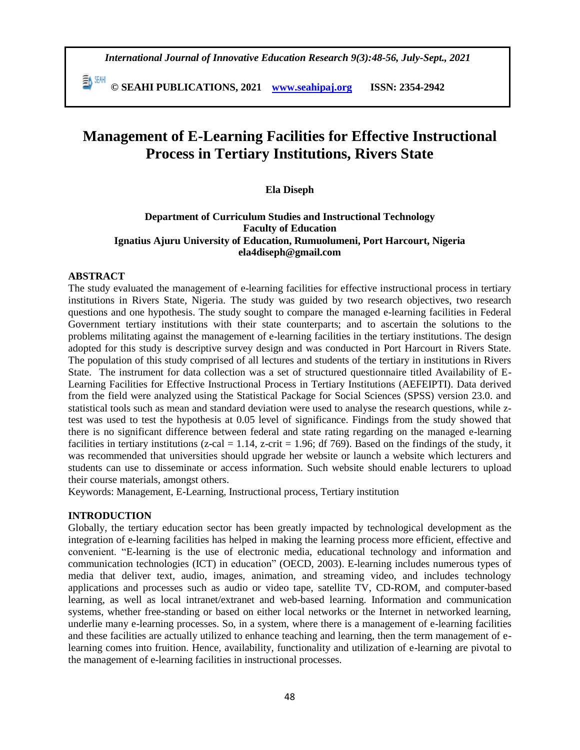**© SEAHI PUBLICATIONS, 2021 [www.seahipaj.org](http://www.seahipaj.org/) ISSN: 2354-2942**

# **Management of E-Learning Facilities for Effective Instructional Process in Tertiary Institutions, Rivers State**

#### **Ela Diseph**

#### **Department of Curriculum Studies and Instructional Technology Faculty of Education Ignatius Ajuru University of Education, Rumuolumeni, Port Harcourt, Nigeria ela4diseph@gmail.com**

# **ABSTRACT**

The study evaluated the management of e-learning facilities for effective instructional process in tertiary institutions in Rivers State, Nigeria. The study was guided by two research objectives, two research questions and one hypothesis. The study sought to compare the managed e-learning facilities in Federal Government tertiary institutions with their state counterparts; and to ascertain the solutions to the problems militating against the management of e-learning facilities in the tertiary institutions. The design adopted for this study is descriptive survey design and was conducted in Port Harcourt in Rivers State. The population of this study comprised of all lectures and students of the tertiary in institutions in Rivers State. The instrument for data collection was a set of structured questionnaire titled Availability of E-Learning Facilities for Effective Instructional Process in Tertiary Institutions (AEFEIPTI). Data derived from the field were analyzed using the Statistical Package for Social Sciences (SPSS) version 23.0. and statistical tools such as mean and standard deviation were used to analyse the research questions, while ztest was used to test the hypothesis at 0.05 level of significance. Findings from the study showed that there is no significant difference between federal and state rating regarding on the managed e-learning facilities in tertiary institutions (z-cal = 1.14, z-crit = 1.96; df 769). Based on the findings of the study, it was recommended that universities should upgrade her website or launch a website which lecturers and students can use to disseminate or access information. Such website should enable lecturers to upload their course materials, amongst others.

Keywords: Management, E-Learning, Instructional process, Tertiary institution

#### **INTRODUCTION**

Globally, the tertiary education sector has been greatly impacted by technological development as the integration of e-learning facilities has helped in making the learning process more efficient, effective and convenient. "E-learning is the use of electronic media, educational technology and information and communication technologies (ICT) in education" (OECD, 2003). E-learning includes numerous types of media that deliver text, audio, images, animation, and streaming video, and includes technology applications and processes such as audio or video tape, satellite TV, CD-ROM, and computer-based learning, as well as local intranet/extranet and web-based learning. Information and communication systems, whether free-standing or based on either local networks or the Internet in networked learning, underlie many e-learning processes. So, in a system, where there is a management of e-learning facilities and these facilities are actually utilized to enhance teaching and learning, then the term management of elearning comes into fruition. Hence, availability, functionality and utilization of e-learning are pivotal to the management of e-learning facilities in instructional processes.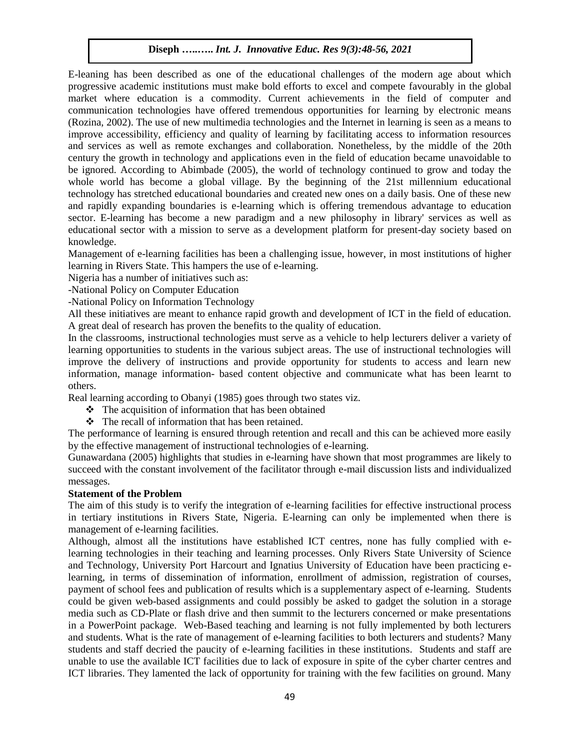E-leaning has been described as one of the educational challenges of the modern age about which progressive academic institutions must make bold efforts to excel and compete favourably in the global market where education is a commodity. Current achievements in the field of computer and communication technologies have offered tremendous opportunities for learning by electronic means (Rozina, 2002). The use of new multimedia technologies and the Internet in learning is seen as a means to improve accessibility, efficiency and quality of learning by facilitating access to information resources and services as well as remote exchanges and collaboration. Nonetheless, by the middle of the 20th century the growth in technology and applications even in the field of education became unavoidable to be ignored. According to Abimbade (2005), the world of technology continued to grow and today the whole world has become a global village. By the beginning of the 21st millennium educational technology has stretched educational boundaries and created new ones on a daily basis. One of these new and rapidly expanding boundaries is e-learning which is offering tremendous advantage to education sector. E-learning has become a new paradigm and a new philosophy in library' services as well as educational sector with a mission to serve as a development platform for present-day society based on knowledge.

Management of e-learning facilities has been a challenging issue, however, in most institutions of higher learning in Rivers State. This hampers the use of e-learning.

Nigeria has a number of initiatives such as:

-National Policy on Computer Education

-National Policy on Information Technology

All these initiatives are meant to enhance rapid growth and development of ICT in the field of education. A great deal of research has proven the benefits to the quality of education.

In the classrooms, instructional technologies must serve as a vehicle to help lecturers deliver a variety of learning opportunities to students in the various subject areas. The use of instructional technologies will improve the delivery of instructions and provide opportunity for students to access and learn new information, manage information- based content objective and communicate what has been learnt to others.

Real learning according to Obanyi (1985) goes through two states viz.

- $\hat{\cdot}$  The acquisition of information that has been obtained
- $\mathbf{\hat{P}}$  The recall of information that has been retained.

The performance of learning is ensured through retention and recall and this can be achieved more easily by the effective management of instructional technologies of e-learning.

Gunawardana (2005) highlights that studies in e-learning have shown that most programmes are likely to succeed with the constant involvement of the facilitator through e-mail discussion lists and individualized messages.

# **Statement of the Problem**

The aim of this study is to verify the integration of e-learning facilities for effective instructional process in tertiary institutions in Rivers State, Nigeria. E-learning can only be implemented when there is management of e-learning facilities.

Although, almost all the institutions have established ICT centres, none has fully complied with elearning technologies in their teaching and learning processes. Only Rivers State University of Science and Technology, University Port Harcourt and Ignatius University of Education have been practicing elearning, in terms of dissemination of information, enrollment of admission, registration of courses, payment of school fees and publication of results which is a supplementary aspect of e-learning. Students could be given web-based assignments and could possibly be asked to gadget the solution in a storage media such as CD-Plate or flash drive and then summit to the lecturers concerned or make presentations in a PowerPoint package. Web-Based teaching and learning is not fully implemented by both lecturers and students. What is the rate of management of e-learning facilities to both lecturers and students? Many students and staff decried the paucity of e-learning facilities in these institutions. Students and staff are unable to use the available ICT facilities due to lack of exposure in spite of the cyber charter centres and ICT libraries. They lamented the lack of opportunity for training with the few facilities on ground. Many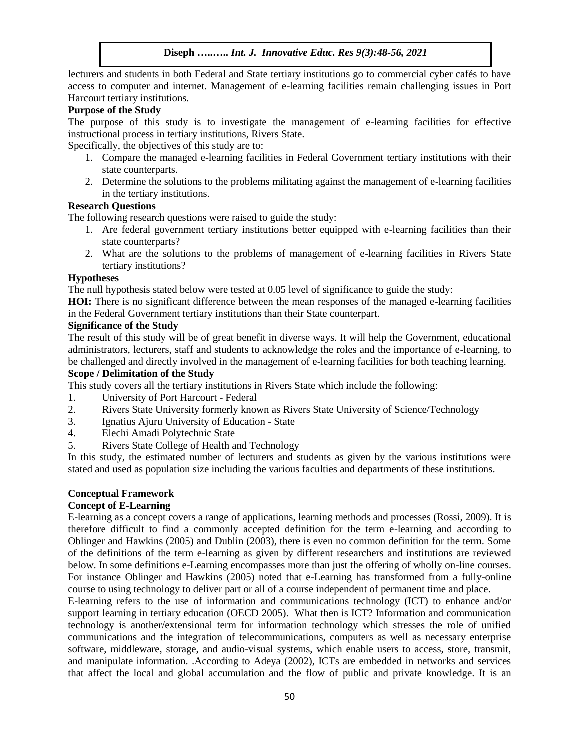lecturers and students in both Federal and State tertiary institutions go to commercial cyber cafés to have access to computer and internet. Management of e-learning facilities remain challenging issues in Port Harcourt tertiary institutions.

# **Purpose of the Study**

The purpose of this study is to investigate the management of e-learning facilities for effective instructional process in tertiary institutions, Rivers State.

Specifically, the objectives of this study are to:

- 1. Compare the managed e-learning facilities in Federal Government tertiary institutions with their state counterparts.
- 2. Determine the solutions to the problems militating against the management of e-learning facilities in the tertiary institutions.

# **Research Questions**

The following research questions were raised to guide the study:

- 1. Are federal government tertiary institutions better equipped with e-learning facilities than their state counterparts?
- 2. What are the solutions to the problems of management of e-learning facilities in Rivers State tertiary institutions?

#### **Hypotheses**

The null hypothesis stated below were tested at 0.05 level of significance to guide the study:

**HOI:** There is no significant difference between the mean responses of the managed e-learning facilities in the Federal Government tertiary institutions than their State counterpart.

# **Significance of the Study**

The result of this study will be of great benefit in diverse ways. It will help the Government, educational administrators, lecturers, staff and students to acknowledge the roles and the importance of e-learning, to be challenged and directly involved in the management of e-learning facilities for both teaching learning.

#### **Scope / Delimitation of the Study**

This study covers all the tertiary institutions in Rivers State which include the following:

- 1. University of Port Harcourt Federal
- 2. Rivers State University formerly known as Rivers State University of Science/Technology
- 3. Ignatius Ajuru University of Education State
- 4. Elechi Amadi Polytechnic State
- 5. Rivers State College of Health and Technology

In this study, the estimated number of lecturers and students as given by the various institutions were stated and used as population size including the various faculties and departments of these institutions.

#### **Conceptual Framework**

# **Concept of E-Learning**

E-learning as a concept covers a range of applications, learning methods and processes (Rossi, 2009). It is therefore difficult to find a commonly accepted definition for the term e-learning and according to Oblinger and Hawkins (2005) and Dublin (2003), there is even no common definition for the term. Some of the definitions of the term e-learning as given by different researchers and institutions are reviewed below. In some definitions e-Learning encompasses more than just the offering of wholly on-line courses. For instance Oblinger and Hawkins (2005) noted that e-Learning has transformed from a fully-online course to using technology to deliver part or all of a course independent of permanent time and place.

E-learning refers to the use of information and communications technology (ICT) to enhance and/or support learning in tertiary education (OECD 2005). What then is ICT? Information and communication technology is another/extensional term for information technology which stresses the role of unified communications and the integration of telecommunications, computers as well as necessary enterprise software, middleware, storage, and audio-visual systems, which enable users to access, store, transmit, and manipulate information. .According to Adeya (2002), ICTs are embedded in networks and services that affect the local and global accumulation and the flow of public and private knowledge. It is an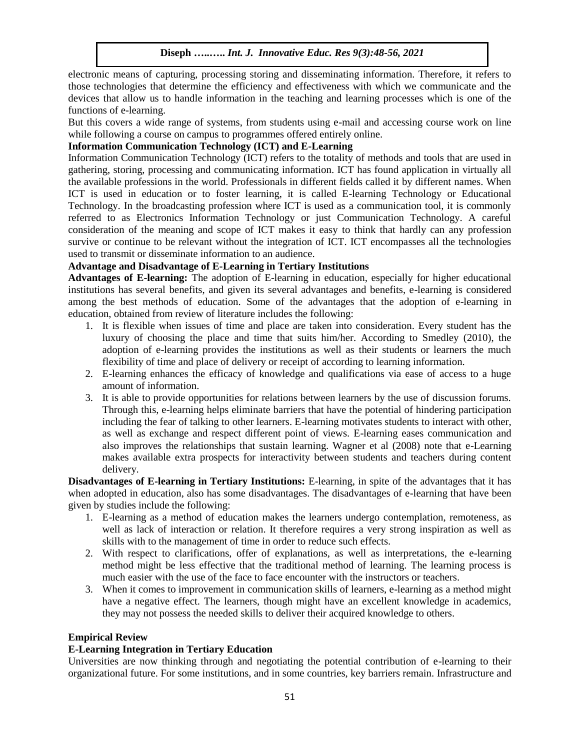electronic means of capturing, processing storing and disseminating information. Therefore, it refers to those technologies that determine the efficiency and effectiveness with which we communicate and the devices that allow us to handle information in the teaching and learning processes which is one of the functions of e-learning.

But this covers a wide range of systems, from students using e-mail and accessing course work on line while following a course on campus to programmes offered entirely online.

# **Information Communication Technology (ICT) and E-Learning**

Information Communication Technology (ICT) refers to the totality of methods and tools that are used in gathering, storing, processing and communicating information. ICT has found application in virtually all the available professions in the world. Professionals in different fields called it by different names. When ICT is used in education or to foster learning, it is called E-learning Technology or Educational Technology. In the broadcasting profession where ICT is used as a communication tool, it is commonly referred to as Electronics Information Technology or just Communication Technology. A careful consideration of the meaning and scope of ICT makes it easy to think that hardly can any profession survive or continue to be relevant without the integration of ICT. ICT encompasses all the technologies used to transmit or disseminate information to an audience.

# **Advantage and Disadvantage of E-Learning in Tertiary Institutions**

**Advantages of E-learning:** The adoption of E-learning in education, especially for higher educational institutions has several benefits, and given its several advantages and benefits, e-learning is considered among the best methods of education. Some of the advantages that the adoption of e-learning in education, obtained from review of literature includes the following:

- 1. It is flexible when issues of time and place are taken into consideration. Every student has the luxury of choosing the place and time that suits him/her. According to Smedley (2010), the adoption of e-learning provides the institutions as well as their students or learners the much flexibility of time and place of delivery or receipt of according to learning information.
- 2. E-learning enhances the efficacy of knowledge and qualifications via ease of access to a huge amount of information.
- 3. It is able to provide opportunities for relations between learners by the use of discussion forums. Through this, e-learning helps eliminate barriers that have the potential of hindering participation including the fear of talking to other learners. E-learning motivates students to interact with other, as well as exchange and respect different point of views. E-learning eases communication and also improves the relationships that sustain learning. Wagner et al (2008) note that e-Learning makes available extra prospects for interactivity between students and teachers during content delivery.

**Disadvantages of E-learning in Tertiary Institutions:** E-learning, in spite of the advantages that it has when adopted in education, also has some disadvantages. The disadvantages of e-learning that have been given by studies include the following:

- 1. E-learning as a method of education makes the learners undergo contemplation, remoteness, as well as lack of interaction or relation. It therefore requires a very strong inspiration as well as skills with to the management of time in order to reduce such effects.
- 2. With respect to clarifications, offer of explanations, as well as interpretations, the e-learning method might be less effective that the traditional method of learning. The learning process is much easier with the use of the face to face encounter with the instructors or teachers.
- 3. When it comes to improvement in communication skills of learners, e-learning as a method might have a negative effect. The learners, though might have an excellent knowledge in academics, they may not possess the needed skills to deliver their acquired knowledge to others.

# **Empirical Review**

# **E-Learning Integration in Tertiary Education**

Universities are now thinking through and negotiating the potential contribution of e-learning to their organizational future. For some institutions, and in some countries, key barriers remain. Infrastructure and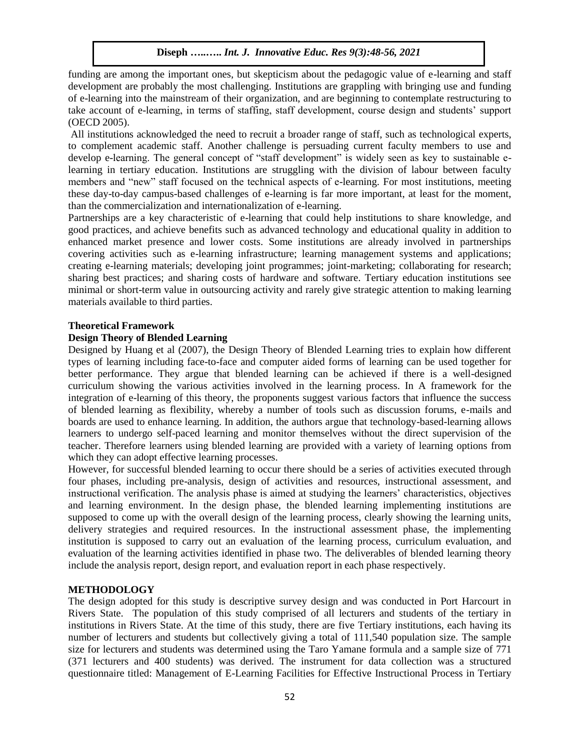funding are among the important ones, but skepticism about the pedagogic value of e-learning and staff development are probably the most challenging. Institutions are grappling with bringing use and funding of e-learning into the mainstream of their organization, and are beginning to contemplate restructuring to take account of e-learning, in terms of staffing, staff development, course design and students' support (OECD 2005).

All institutions acknowledged the need to recruit a broader range of staff, such as technological experts, to complement academic staff. Another challenge is persuading current faculty members to use and develop e-learning. The general concept of "staff development" is widely seen as key to sustainable elearning in tertiary education. Institutions are struggling with the division of labour between faculty members and "new" staff focused on the technical aspects of e-learning. For most institutions, meeting these day-to-day campus-based challenges of e-learning is far more important, at least for the moment, than the commercialization and internationalization of e-learning.

Partnerships are a key characteristic of e-learning that could help institutions to share knowledge, and good practices, and achieve benefits such as advanced technology and educational quality in addition to enhanced market presence and lower costs. Some institutions are already involved in partnerships covering activities such as e-learning infrastructure; learning management systems and applications; creating e-learning materials; developing joint programmes; joint-marketing; collaborating for research; sharing best practices; and sharing costs of hardware and software. Tertiary education institutions see minimal or short-term value in outsourcing activity and rarely give strategic attention to making learning materials available to third parties.

# **Theoretical Framework**

# **Design Theory of Blended Learning**

Designed by Huang et al (2007), the Design Theory of Blended Learning tries to explain how different types of learning including face-to-face and computer aided forms of learning can be used together for better performance. They argue that blended learning can be achieved if there is a well-designed curriculum showing the various activities involved in the learning process. In A framework for the integration of e-learning of this theory, the proponents suggest various factors that influence the success of blended learning as flexibility, whereby a number of tools such as discussion forums, e-mails and boards are used to enhance learning. In addition, the authors argue that technology-based-learning allows learners to undergo self-paced learning and monitor themselves without the direct supervision of the teacher. Therefore learners using blended learning are provided with a variety of learning options from which they can adopt effective learning processes.

However, for successful blended learning to occur there should be a series of activities executed through four phases, including pre-analysis, design of activities and resources, instructional assessment, and instructional verification. The analysis phase is aimed at studying the learners' characteristics, objectives and learning environment. In the design phase, the blended learning implementing institutions are supposed to come up with the overall design of the learning process, clearly showing the learning units, delivery strategies and required resources. In the instructional assessment phase, the implementing institution is supposed to carry out an evaluation of the learning process, curriculum evaluation, and evaluation of the learning activities identified in phase two. The deliverables of blended learning theory include the analysis report, design report, and evaluation report in each phase respectively.

# **METHODOLOGY**

The design adopted for this study is descriptive survey design and was conducted in Port Harcourt in Rivers State. The population of this study comprised of all lecturers and students of the tertiary in institutions in Rivers State. At the time of this study, there are five Tertiary institutions, each having its number of lecturers and students but collectively giving a total of 111,540 population size. The sample size for lecturers and students was determined using the Taro Yamane formula and a sample size of 771 (371 lecturers and 400 students) was derived. The instrument for data collection was a structured questionnaire titled: Management of E-Learning Facilities for Effective Instructional Process in Tertiary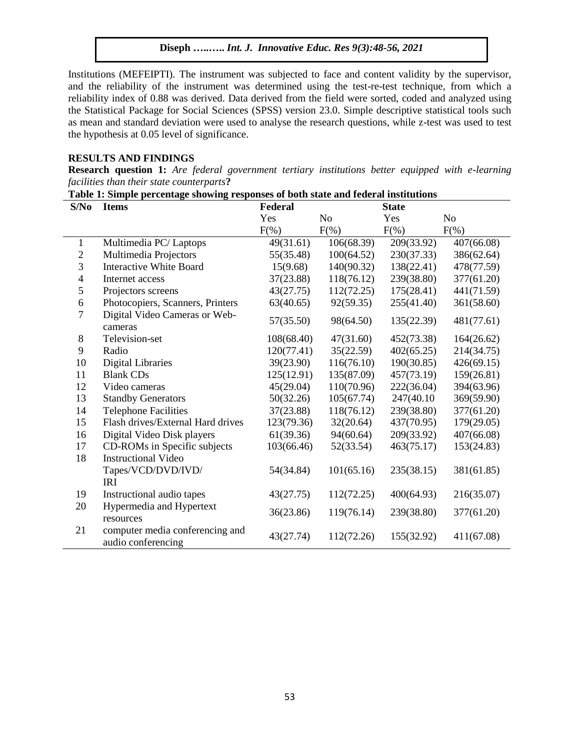Institutions (MEFEIPTI). The instrument was subjected to face and content validity by the supervisor, and the reliability of the instrument was determined using the test-re-test technique, from which a reliability index of 0.88 was derived. Data derived from the field were sorted, coded and analyzed using the Statistical Package for Social Sciences (SPSS) version 23.0. Simple descriptive statistical tools such as mean and standard deviation were used to analyse the research questions, while z-test was used to test the hypothesis at 0.05 level of significance.

#### **RESULTS AND FINDINGS**

**Research question 1:** *Are federal government tertiary institutions better equipped with e-learning facilities than their state counterparts***?** 

| S/No                     | <b>Items</b>                                          | Federal    |                | <b>State</b> |                |  |
|--------------------------|-------------------------------------------------------|------------|----------------|--------------|----------------|--|
|                          |                                                       | Yes        | N <sub>o</sub> | Yes          | N <sub>o</sub> |  |
|                          |                                                       | $F(\%)$    | $F(\%)$        | $F(\%)$      | $F(\%)$        |  |
| 1                        | Multimedia PC/Laptops                                 | 49(31.61)  | 106(68.39)     | 209(33.92)   | 407(66.08)     |  |
| $\overline{2}$           | Multimedia Projectors                                 | 55(35.48)  | 100(64.52)     | 230(37.33)   | 386(62.64)     |  |
| 3                        | <b>Interactive White Board</b>                        | 15(9.68)   | 140(90.32)     | 138(22.41)   | 478(77.59)     |  |
| $\overline{\mathcal{A}}$ | Internet access                                       | 37(23.88)  | 118(76.12)     | 239(38.80)   | 377(61.20)     |  |
| 5                        | Projectors screens                                    | 43(27.75)  | 112(72.25)     | 175(28.41)   | 441(71.59)     |  |
| 6                        | Photocopiers, Scanners, Printers                      | 63(40.65)  | 92(59.35)      | 255(41.40)   | 361(58.60)     |  |
| $\overline{7}$           | Digital Video Cameras or Web-<br>cameras              | 57(35.50)  | 98(64.50)      | 135(22.39)   | 481(77.61)     |  |
| 8                        | Television-set                                        | 108(68.40) | 47(31.60)      | 452(73.38)   | 164(26.62)     |  |
| 9                        | Radio                                                 | 120(77.41) | 35(22.59)      | 402(65.25)   | 214(34.75)     |  |
| 10                       | <b>Digital Libraries</b>                              | 39(23.90)  | 116(76.10)     | 190(30.85)   | 426(69.15)     |  |
| 11                       | <b>Blank CDs</b>                                      | 125(12.91) | 135(87.09)     | 457(73.19)   | 159(26.81)     |  |
| 12                       | Video cameras                                         | 45(29.04)  | 110(70.96)     | 222(36.04)   | 394(63.96)     |  |
| 13                       | <b>Standby Generators</b>                             | 50(32.26)  | 105(67.74)     | 247(40.10)   | 369(59.90)     |  |
| 14                       | <b>Telephone Facilities</b>                           | 37(23.88)  | 118(76.12)     | 239(38.80)   | 377(61.20)     |  |
| 15                       | Flash drives/External Hard drives                     | 123(79.36) | 32(20.64)      | 437(70.95)   | 179(29.05)     |  |
| 16                       | Digital Video Disk players                            | 61(39.36)  | 94(60.64)      | 209(33.92)   | 407(66.08)     |  |
| 17                       | CD-ROMs in Specific subjects                          | 103(66.46) | 52(33.54)      | 463(75.17)   | 153(24.83)     |  |
| 18                       | <b>Instructional Video</b>                            |            |                |              |                |  |
|                          | Tapes/VCD/DVD/IVD/<br><b>IRI</b>                      | 54(34.84)  | 101(65.16)     | 235(38.15)   | 381(61.85)     |  |
| 19                       | Instructional audio tapes                             | 43(27.75)  | 112(72.25)     | 400(64.93)   | 216(35.07)     |  |
| 20                       | Hypermedia and Hypertext<br>resources                 | 36(23.86)  | 119(76.14)     | 239(38.80)   | 377(61.20)     |  |
| 21                       | computer media conferencing and<br>audio conferencing | 43(27.74)  | 112(72.26)     | 155(32.92)   | 411(67.08)     |  |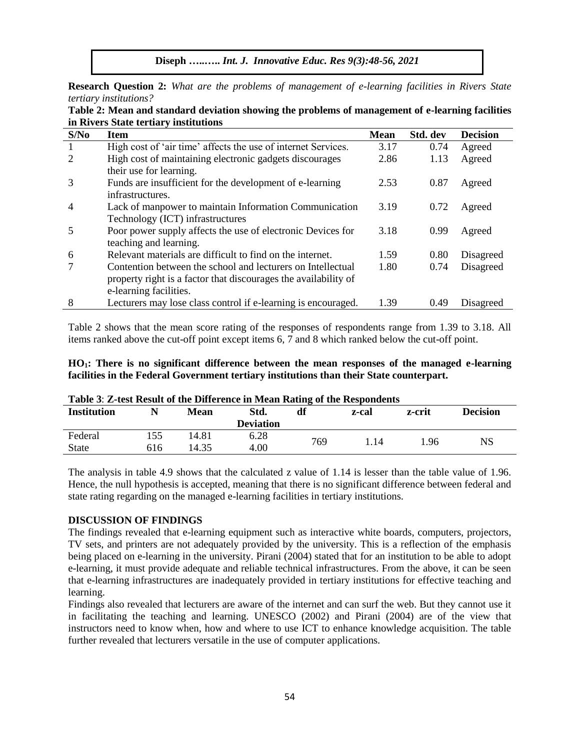**Research Question 2:** *What are the problems of management of e-learning facilities in Rivers State tertiary institutions?*

| In Rivers State tertiary institutions |                                                                 |             |          |                 |  |  |  |  |
|---------------------------------------|-----------------------------------------------------------------|-------------|----------|-----------------|--|--|--|--|
| S/No                                  | <b>Item</b>                                                     | <b>Mean</b> | Std. dev | <b>Decision</b> |  |  |  |  |
| -1                                    | High cost of 'air time' affects the use of internet Services.   | 3.17        | 0.74     | Agreed          |  |  |  |  |
| 2                                     | High cost of maintaining electronic gadgets discourages         | 2.86        | 1.13     | Agreed          |  |  |  |  |
|                                       | their use for learning.                                         |             |          |                 |  |  |  |  |
| 3                                     | Funds are insufficient for the development of e-learning        | 2.53        | 0.87     | Agreed          |  |  |  |  |
|                                       | infrastructures.                                                |             |          |                 |  |  |  |  |
| $\overline{4}$                        | Lack of manpower to maintain Information Communication          | 3.19        | 0.72     | Agreed          |  |  |  |  |
|                                       | Technology (ICT) infrastructures                                |             |          |                 |  |  |  |  |
| 5                                     | Poor power supply affects the use of electronic Devices for     | 3.18        | 0.99     | Agreed          |  |  |  |  |
|                                       | teaching and learning.                                          |             |          |                 |  |  |  |  |
| 6                                     | Relevant materials are difficult to find on the internet.       | 1.59        | 0.80     | Disagreed       |  |  |  |  |
|                                       | Contention between the school and lecturers on Intellectual     | 1.80        | 0.74     | Disagreed       |  |  |  |  |
|                                       | property right is a factor that discourages the availability of |             |          |                 |  |  |  |  |
|                                       | e-learning facilities.                                          |             |          |                 |  |  |  |  |
| 8                                     | Lecturers may lose class control if e-learning is encouraged.   | 1.39        | 0.49     | Disagreed       |  |  |  |  |

**Table 2: Mean and standard deviation showing the problems of management of e-learning facilities in Rivers State tertiary institutions**

Table 2 shows that the mean score rating of the responses of respondents range from 1.39 to 3.18. All items ranked above the cut-off point except items 6, 7 and 8 which ranked below the cut-off point.

|                                                                                          |  |  |  | $HO_1$ : There is no significant difference between the mean responses of the managed e-learning |  |  |  |  |  |  |
|------------------------------------------------------------------------------------------|--|--|--|--------------------------------------------------------------------------------------------------|--|--|--|--|--|--|
| facilities in the Federal Government tertiary institutions than their State counterpart. |  |  |  |                                                                                                  |  |  |  |  |  |  |

| <b>Table 5. Z-test Result of the Difference in Mean Rating of the Respondents</b> |     |       |                  |     |       |        |                 |  |
|-----------------------------------------------------------------------------------|-----|-------|------------------|-----|-------|--------|-----------------|--|
| <b>Institution</b>                                                                |     | Mean  | Std.             | df  | z-cal | z-crit | <b>Decision</b> |  |
|                                                                                   |     |       | <b>Deviation</b> |     |       |        |                 |  |
| Federal                                                                           | 155 | 14.81 | 6.28             | 769 | 1.14  | l 96   | NS              |  |
| <b>State</b>                                                                      | 616 | 14.35 | 4.00             |     |       |        |                 |  |

**Table 3**: **Z-test Result of the Difference in Mean Rating of the Respondents**

The analysis in table 4.9 shows that the calculated z value of 1.14 is lesser than the table value of 1.96. Hence, the null hypothesis is accepted, meaning that there is no significant difference between federal and state rating regarding on the managed e-learning facilities in tertiary institutions.

#### **DISCUSSION OF FINDINGS**

The findings revealed that e-learning equipment such as interactive white boards, computers, projectors, TV sets, and printers are not adequately provided by the university. This is a reflection of the emphasis being placed on e-learning in the university. Pirani (2004) stated that for an institution to be able to adopt e-learning, it must provide adequate and reliable technical infrastructures. From the above, it can be seen that e-learning infrastructures are inadequately provided in tertiary institutions for effective teaching and learning.

Findings also revealed that lecturers are aware of the internet and can surf the web. But they cannot use it in facilitating the teaching and learning. UNESCO (2002) and Pirani (2004) are of the view that instructors need to know when, how and where to use ICT to enhance knowledge acquisition. The table further revealed that lecturers versatile in the use of computer applications.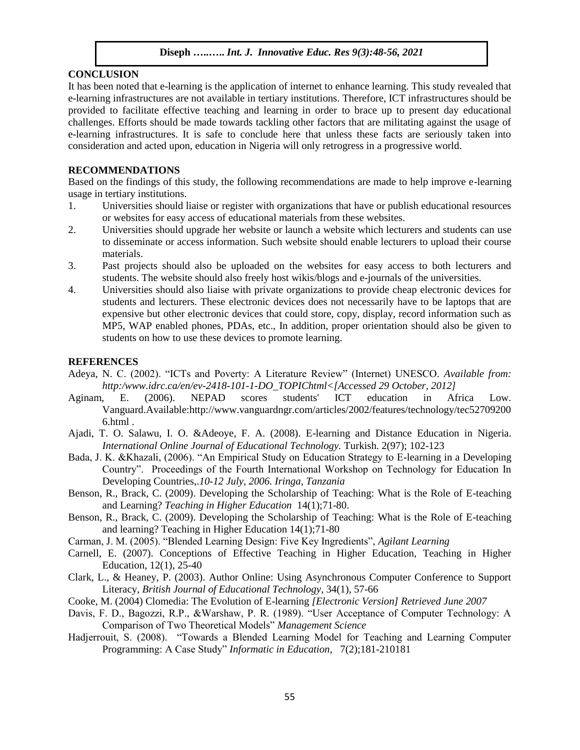# **CONCLUSION**

It has been noted that e-learning is the application of internet to enhance learning. This study revealed that e-learning infrastructures are not available in tertiary institutions. Therefore, ICT infrastructures should be provided to facilitate effective teaching and learning in order to brace up to present day educational challenges. Efforts should be made towards tackling other factors that are militating against the usage of e-learning infrastructures. It is safe to conclude here that unless these facts are seriously taken into consideration and acted upon, education in Nigeria will only retrogress in a progressive world.

#### **RECOMMENDATIONS**

Based on the findings of this study, the following recommendations are made to help improve e-learning usage in tertiary institutions.

- 1. Universities should liaise or register with organizations that have or publish educational resources or websites for easy access of educational materials from these websites.
- 2. Universities should upgrade her website or launch a website which lecturers and students can use to disseminate or access information. Such website should enable lecturers to upload their course materials.
- 3. Past projects should also be uploaded on the websites for easy access to both lecturers and students. The website should also freely host wikis/blogs and e-journals of the universities.
- 4. Universities should also liaise with private organizations to provide cheap electronic devices for students and lecturers. These electronic devices does not necessarily have to be laptops that are expensive but other electronic devices that could store, copy, display, record information such as MP5, WAP enabled phones, PDAs, etc., In addition, proper orientation should also be given to students on how to use these devices to promote learning.

#### **REFERENCES**

- Adeya, N. C. (2002). "ICTs and Poverty: A Literature Review" (Internet) UNESCO*. Available from: http:/www.idrc.ca/en/ev-2418-101-1-DO\_TOPIChtml<[Accessed 29 October, 2012]*
- Aginam, E. (2006). NEPAD scores students' ICT education in Africa Low. Vanguard.Available:http://www.vanguardngr.com/articles/2002/features/technology/tec52709200 6.html .
- Ajadi, T. O. Salawu, I. O. &Adeoye, F. A. (2008). E-learning and Distance Education in Nigeria. *International Online Journal of Educational Technology.* Turkish. 2(97); 102-123
- Bada, J. K. &Khazali, (2006). "An Empirical Study on Education Strategy to E-learning in a Developing Country". Proceedings of the Fourth International Workshop on Technology for Education In Developing Countries,.*10-12 July, 2006. Iringa, Tanzania*
- Benson, R., Brack, C. (2009). Developing the Scholarship of Teaching: What is the Role of E-teaching and Learning? *Teaching in Higher Education* 14(1);71-80.
- Benson, R., Brack, C. (2009). Developing the Scholarship of Teaching: What is the Role of E-teaching and learning? Teaching in Higher Education 14(1);71-80
- Carman, J. M. (2005). "Blended Learning Design: Five Key Ingredients", *Agilant Learning*
- Carnell, E. (2007). Conceptions of Effective Teaching in Higher Education, Teaching in Higher Education, 12(1), 25-40
- Clark, L., & Heaney, P. (2003). Author Online: Using Asynchronous Computer Conference to Support Literacy, *British Journal of Educational Technology*, 34(1), 57-66
- Cooke, M. (2004) Clomedia: The Evolution of E-learning *[Electronic Version] Retrieved June 2007*
- Davis, F. D., Bagozzi, R.P., &Warshaw, P. R. (1989). "User Acceptance of Computer Technology: A Comparison of Two Theoretical Models" *Management Science*
- Hadjerrouit, S. (2008). "Towards a Blended Learning Model for Teaching and Learning Computer Programming: A Case Study" *Informatic in Education,* 7(2);181-210181